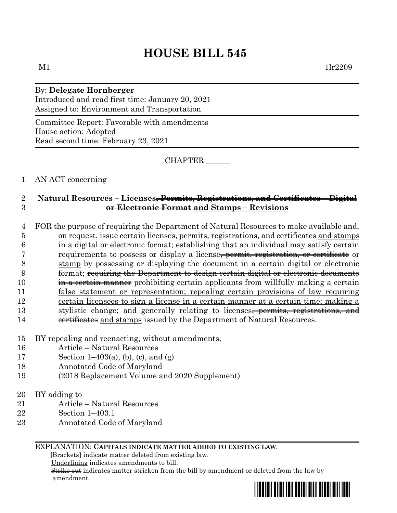# **HOUSE BILL 545**

## By: **Delegate Hornberger**

Introduced and read first time: January 20, 2021 Assigned to: Environment and Transportation

Committee Report: Favorable with amendments House action: Adopted Read second time: February 23, 2021

CHAPTER \_\_\_\_\_\_

### 1 AN ACT concerning

## 2 **Natural Resources – Licenses, Permits, Registrations, and Certificates – Digital**  3 **or Electronic Format and Stamps – Revisions**

 FOR the purpose of requiring the Department of Natural Resources to make available and, 5 on request, issue certain licenses<del>, permits, registrations, and certificates</del> and stamps in a digital or electronic format; establishing that an individual may satisfy certain requirements to possess or display a license, permit, registration, or certificate or stamp by possessing or displaying the document in a certain digital or electronic 9 format; requiring the Department to design certain digital or electronic documents **in a certain manner** prohibiting certain applicants from willfully making a certain false statement or representation; repealing certain provisions of law requiring certain licensees to sign a license in a certain manner at a certain time; making a 13 stylistic change; and generally relating to licenses<del>, permits, registrations, and</del> 14 certificates and stamps issued by the Department of Natural Resources.

- 15 BY repealing and reenacting, without amendments,
- 16 Article Natural Resources
- 17 Section 1–403(a), (b), (c), and (g)
- 18 Annotated Code of Maryland
- 19 (2018 Replacement Volume and 2020 Supplement)
- 20 BY adding to
- 21 Article Natural Resources
- 22 Section 1–403.1
- 23 Annotated Code of Maryland

#### EXPLANATION: **CAPITALS INDICATE MATTER ADDED TO EXISTING LAW**.

 **[**Brackets**]** indicate matter deleted from existing law.

Underlining indicates amendments to bill.

 Strike out indicates matter stricken from the bill by amendment or deleted from the law by amendment.

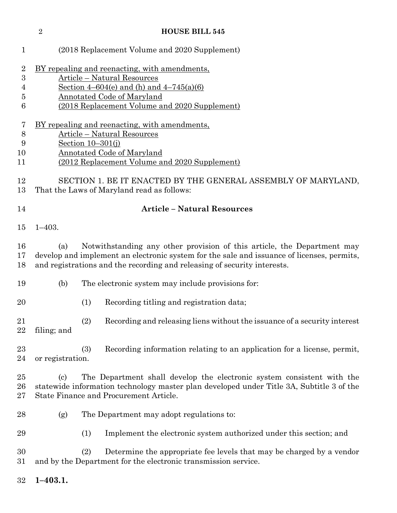| $\sqrt{2}$<br><b>HOUSE BILL 545</b> |                                                                                                                                                                                                                                                          |                                                                                  |
|-------------------------------------|----------------------------------------------------------------------------------------------------------------------------------------------------------------------------------------------------------------------------------------------------------|----------------------------------------------------------------------------------|
| $\mathbf{1}$                        | (2018 Replacement Volume and 2020 Supplement)                                                                                                                                                                                                            |                                                                                  |
| $\overline{2}$<br>3<br>4<br>5<br>6  | BY repealing and reenacting, with amendments,<br><b>Article - Natural Resources</b><br>Section $4-604(e)$ and (h) and $4-745(a)(6)$<br>Annotated Code of Maryland<br>(2018 Replacement Volume and 2020 Supplement)                                       |                                                                                  |
| 7<br>$8\,$<br>9<br>10<br>11         | <u>BY repealing and reenacting, with amendments,</u><br><b>Article – Natural Resources</b><br>Section $10-301(j)$<br><b>Annotated Code of Maryland</b><br>(2012 Replacement Volume and 2020 Supplement)                                                  |                                                                                  |
| 12<br>13                            | SECTION 1. BE IT ENACTED BY THE GENERAL ASSEMBLY OF MARYLAND,<br>That the Laws of Maryland read as follows:                                                                                                                                              |                                                                                  |
| 14                                  | <b>Article - Natural Resources</b>                                                                                                                                                                                                                       |                                                                                  |
| 15                                  | $1 - 403.$                                                                                                                                                                                                                                               |                                                                                  |
| 16<br>17<br>18                      | Notwithstanding any other provision of this article, the Department may<br>(a)<br>develop and implement an electronic system for the sale and issuance of licenses, permits,<br>and registrations and the recording and releasing of security interests. |                                                                                  |
| 19                                  | (b)                                                                                                                                                                                                                                                      | The electronic system may include provisions for:                                |
| 20                                  |                                                                                                                                                                                                                                                          | (1)<br>Recording titling and registration data;                                  |
| 21<br>22                            | filing; and                                                                                                                                                                                                                                              | (2)<br>Recording and releasing liens without the issuance of a security interest |
| 23<br>24                            | or registration.                                                                                                                                                                                                                                         | (3)<br>Recording information relating to an application for a license, permit,   |
| 25<br>26<br>27                      | The Department shall develop the electronic system consistent with the<br>$\left( \mathrm{c} \right)$<br>statewide information technology master plan developed under Title 3A, Subtitle 3 of the<br>State Finance and Procurement Article.              |                                                                                  |
| 28                                  | (g)                                                                                                                                                                                                                                                      | The Department may adopt regulations to:                                         |
| 29                                  |                                                                                                                                                                                                                                                          | Implement the electronic system authorized under this section; and<br>(1)        |
| 30<br>31                            | (2)<br>Determine the appropriate fee levels that may be charged by a vendor<br>and by the Department for the electronic transmission service.                                                                                                            |                                                                                  |
| 32                                  | $1 - 403.1.$                                                                                                                                                                                                                                             |                                                                                  |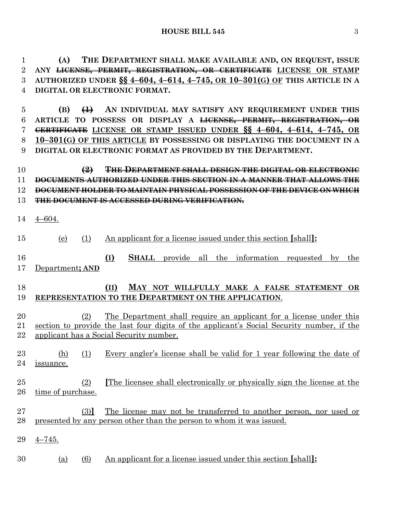**(A) THE DEPARTMENT SHALL MAKE AVAILABLE AND, ON REQUEST, ISSUE ANY LICENSE, PERMIT, REGISTRATION, OR CERTIFICATE LICENSE OR STAMP AUTHORIZED UNDER §§ 4–604, 4–614, 4–745, OR 10–301(G) OF THIS ARTICLE IN A DIGITAL OR ELECTRONIC FORMAT.**

 **(B) (1) AN INDIVIDUAL MAY SATISFY ANY REQUIREMENT UNDER THIS ARTICLE TO POSSESS OR DISPLAY A LICENSE, PERMIT, REGISTRATION, OR CERTIFICATE LICENSE OR STAMP ISSUED UNDER §§ 4–604, 4–614, 4–745, OR 10–301(G) OF THIS ARTICLE BY POSSESSING OR DISPLAYING THE DOCUMENT IN A DIGITAL OR ELECTRONIC FORMAT AS PROVIDED BY THE DEPARTMENT.** 

 **(2) THE DEPARTMENT SHALL DESIGN THE DIGITAL OR ELECTRONIC DOCUMENTS AUTHORIZED UNDER THIS SECTION IN A MANNER THAT ALLOWS THE DOCUMENT HOLDER TO MAINTAIN PHYSICAL POSSESSION OF THE DEVICE ON WHICH THE DOCUMENT IS ACCESSED DURING VERIFICATION.**

4–604.

 (e) (1) An applicant for a license issued under this section **[**shall**]: (I) SHALL** provide all the information requested by the Department**; AND**

## **(II) MAY NOT WILLFULLY MAKE A FALSE STATEMENT OR REPRESENTATION TO THE DEPARTMENT ON THE APPLICATION**.

 (2) The Department shall require an applicant for a license under this section to provide the last four digits of the applicant's Social Security number, if the applicant has a Social Security number.

 (h) (1) Every angler's license shall be valid for 1 year following the date of issuance.

## (2) **[**The licensee shall electronically or physically sign the license at the time of purchase.

- (3)**]** The license may not be transferred to another person, nor used or presented by any person other than the person to whom it was issued.
- 4–745.
- (a) (6) An applicant for a license issued under this section **[**shall**]:**